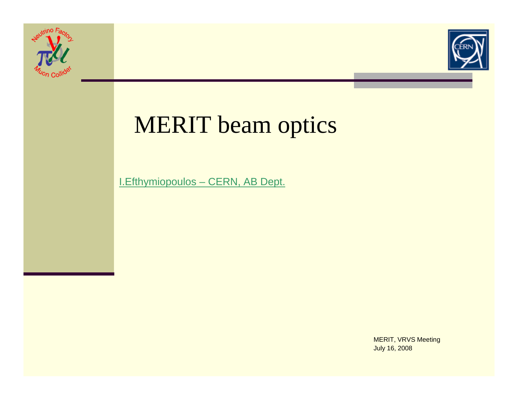



# MERIT beam optics

I.Efthymiopoulos – CERN, AB Dept.

MERIT, VRVS Meeting July 16, 2008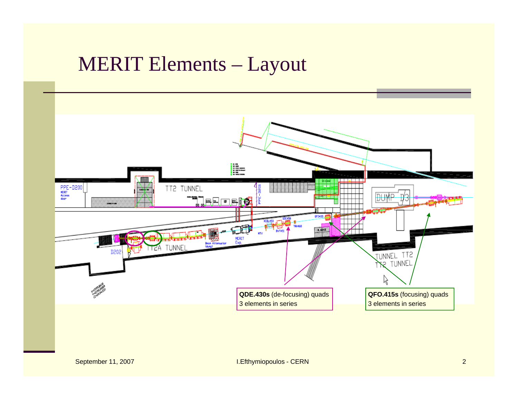#### MERIT Elements – Layout

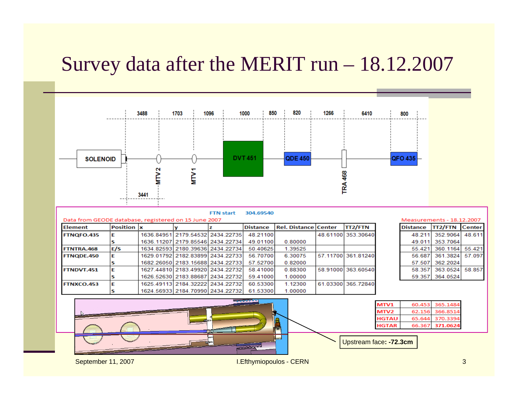## Survey data after the MERIT run – 18.12.2007



September 11, 2007 **I.Efthymiopoulos - CERN**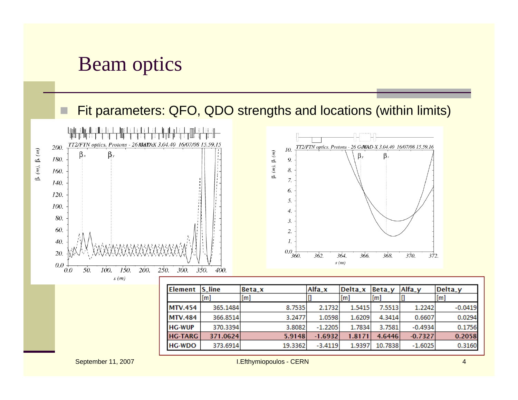#### Beam optics

#### Fit parameters: QFO, QDO strengths and locations (within limits)



19.3362

 $-3.4119$ 

373.6914

**HG-WDO** 

0.3160

10.7838

1.9397

 $-1.6025$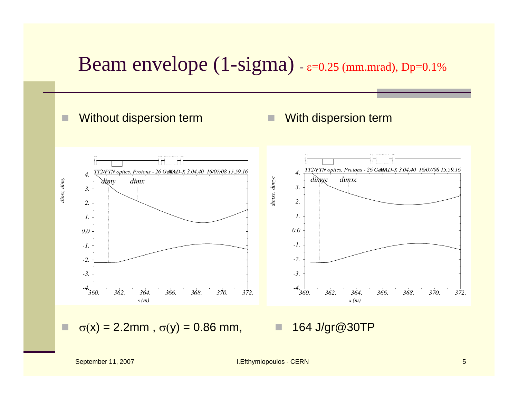#### Beam envelope  $(1-sigma)$  -  $\varepsilon$ =0.25 (mm.mrad), Dp=0.1%

#### Without dispersion term

O

□

#### П With dispersion term



σ(x) = 2.2mm , σ(y) = 0.86 mm,

ш. 164 J/gr@30TP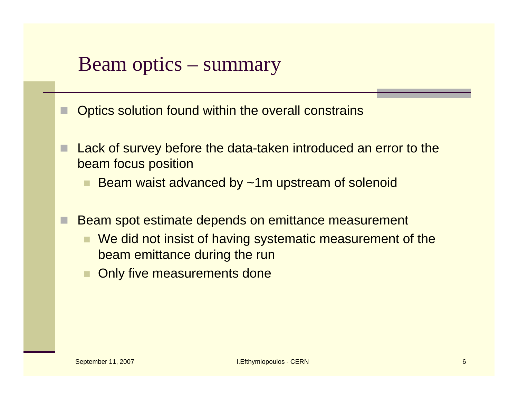#### Beam optics – summary

- Optics solution found within the overall constrains
- П Lack of survey before the data-taken introduced an error to the beam focus position
	- Beam waist advanced by ~1m upstream of solenoid
- Beam spot estimate depends on emittance measurement
	- We did not insist of having systematic measurement of the beam emittance during the run
	- Only five measurements done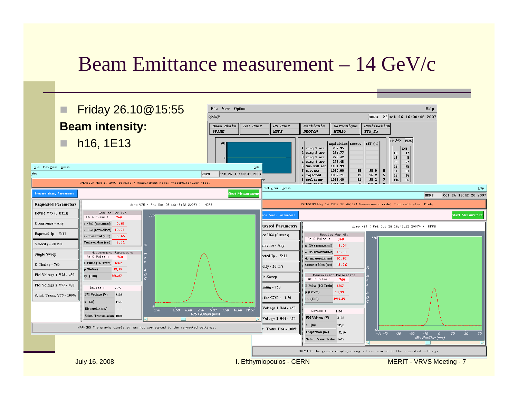### Beam Emittance measurement – 14 GeV/c

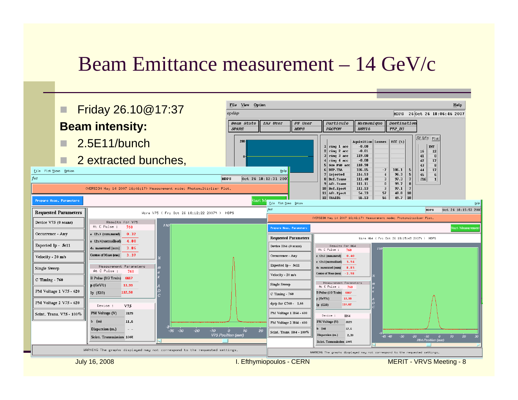## Beam Emittance measurement – 14 GeV/c

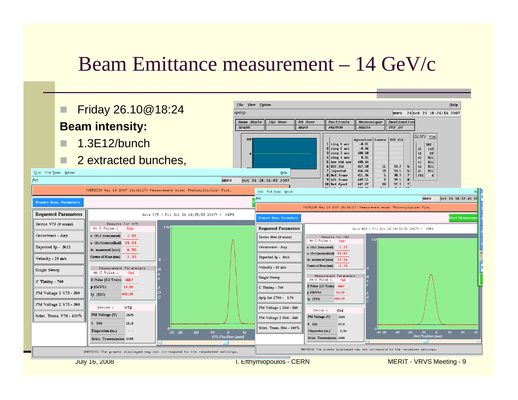## Beam Emittance measurement – 14 GeV/c

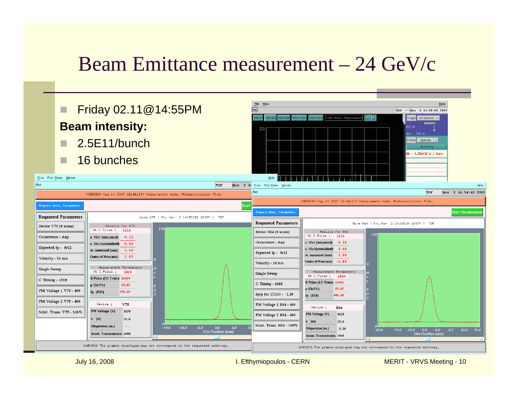## Beam Emittance measurement – 24 GeV/c

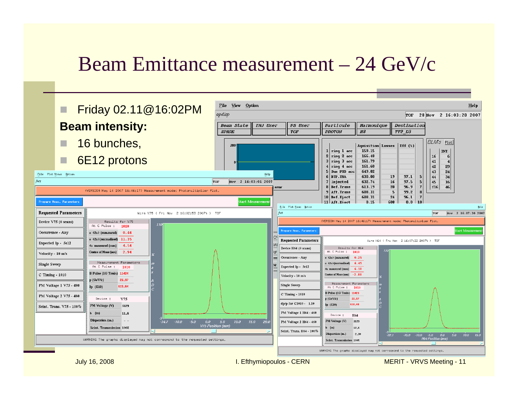### Beam Emittance measurement – 24 GeV/c

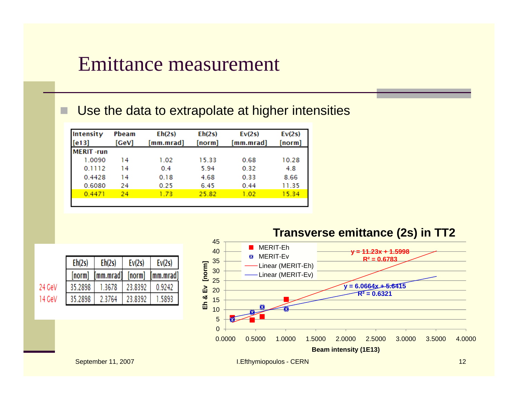#### Emittance measurement

#### Use the data to extrapolate at higher intensities

| Intensity        | <b>Pheam</b> | Eh(2s)    | Eh(2s) | Ev(2s)    | Ev(2s)<br>[norm] |  |
|------------------|--------------|-----------|--------|-----------|------------------|--|
| [e13]            | [GeV]        | [mm.mrad] | [norm] | [mm.mrad] |                  |  |
| <b>MERIT-run</b> |              |           |        |           |                  |  |
| 1.0090           | 14           | 1.02      | 15.33  | 0.68      | 10.28            |  |
| 0.1112           | 14           | 0.4       | 5.94   | 0.32      | 4.8              |  |
| 0.4428           | 14           | 0.18      | 4.68   | 0.33      | 8.66             |  |
| 0.6080           | 24           | 0.25      | 6.45   | 0.44      | 11.35            |  |
| 0.4471           | 24           | 1.73      | 25.82  | 1.02      | 15.34            |  |
|                  |              |           |        |           |                  |  |

**Eh & Ev [norm]**

Eh & Ev

[norm]

| Eh(2s)  | Eh(2s)    | Ev(2s)  | Ev(2s)    |  |
|---------|-----------|---------|-----------|--|
| [norm]  | 'mm.mrad1 | [norm]  | [mm.mrad] |  |
| 35.2898 | 1.3678    | 23.8392 | 0.9242    |  |
| 35.2898 | 2.3764    | 23.8392 | 1.5893    |  |

#### **Transverse emittance (2s) in TT2** 45**MERIT-Eh** 40**y = 11.23x + 1.5998** MERIT-EvЖ **R² = 0.6783**35 Linear (MERIT-Eh) 30 Linear (MERIT-Ev)25**y = 6.0664x + 5.6415** 20**R² = 0.6321**15 105 $\Omega$

0.0000 0.5000 1.0000 1.5000 2.0000 2.5000 3.0000 3.5000 4.0000**Beam intensity (1E13)**

24 GeV

14 GeV